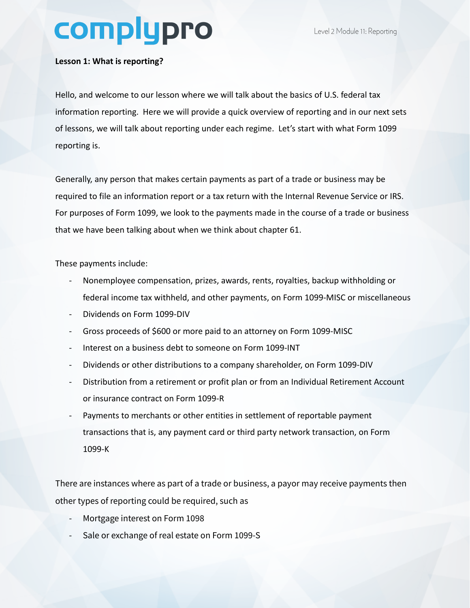## complypro

## **Lesson 1: What is reporting?**

Hello, and welcome to our lesson where we will talk about the basics of U.S. federal tax information reporting. Here we will provide a quick overview of reporting and in our next sets of lessons, we will talk about reporting under each regime. Let's start with what Form 1099 reporting is.

Generally, any person that makes certain payments as part of a trade or business may be required to file an information report or a tax return with the Internal Revenue Service or IRS. For purposes of Form 1099, we look to the payments made in the course of a trade or business that we have been talking about when we think about chapter 61.

These payments include:

- Nonemployee compensation, prizes, awards, rents, royalties, backup withholding or federal income tax withheld, and other payments, on Form 1099-MISC or miscellaneous
- Dividends on Form 1099-DIV
- Gross proceeds of \$600 or more paid to an attorney on Form 1099-MISC
- Interest on a business debt to someone on Form 1099-INT
- Dividends or other distributions to a company shareholder, on Form 1099-DIV
- Distribution from a retirement or profit plan or from an Individual Retirement Account or insurance contract on Form 1099-R
- Payments to merchants or other entities in settlement of reportable payment transactions that is, any payment card or third party network transaction, on Form 1099-K

There are instances where as part of a trade or business, a payor may receive payments then other types of reporting could be required, such as

- Mortgage interest on Form 1098
- Sale or exchange of real estate on Form 1099-S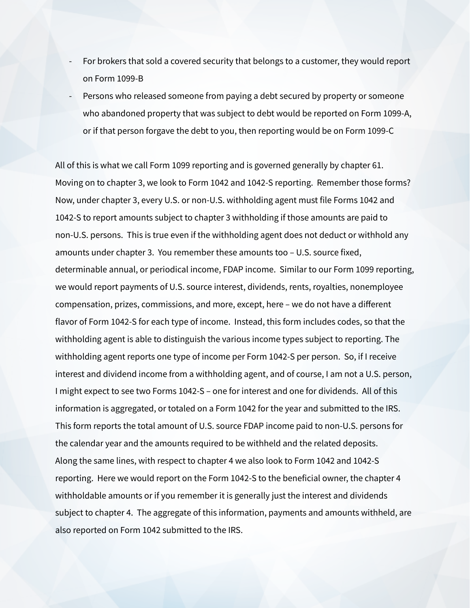- For brokers that sold a covered security that belongs to a customer, they would report on Form 1099-B
- Persons who released someone from paying a debt secured by property or someone who abandoned property that was subject to debt would be reported on Form 1099-A, or if that person forgave the debt to you, then reporting would be on Form 1099-C

All of this is what we call Form 1099 reporting and is governed generally by chapter 61. Moving on to chapter 3, we look to Form 1042 and 1042-S reporting. Remember those forms? Now, under chapter 3, every U.S. or non-U.S. withholding agent must file Forms 1042 and 1042-S to report amounts subject to chapter 3 withholding if those amounts are paid to non-U.S. persons. This is true even if the withholding agent does not deduct or withhold any amounts under chapter 3. You remember these amounts too – U.S. source fixed, determinable annual, or periodical income, FDAP income. Similar to our Form 1099 reporting, we would report payments of U.S. source interest, dividends, rents, royalties, nonemployee compensation, prizes, commissions, and more, except, here – we do not have a different flavor of Form 1042-S for each type of income. Instead, this form includes codes, so that the withholding agent is able to distinguish the various income types subject to reporting. The withholding agent reports one type of income per Form 1042-S per person. So, if I receive interest and dividend income from a withholding agent, and of course, I am not a U.S. person, I might expect to see two Forms 1042-S – one for interest and one for dividends. All of this information is aggregated, or totaled on a Form 1042 for the year and submitted to the IRS. This form reports the total amount of U.S. source FDAP income paid to non-U.S. persons for the calendar year and the amounts required to be withheld and the related deposits. Along the same lines, with respect to chapter 4 we also look to Form 1042 and 1042-S reporting. Here we would report on the Form 1042-S to the beneficial owner, the chapter 4 withholdable amounts or if you remember it is generally just the interest and dividends subject to chapter 4. The aggregate of this information, payments and amounts withheld, are also reported on Form 1042 submitted to the IRS.